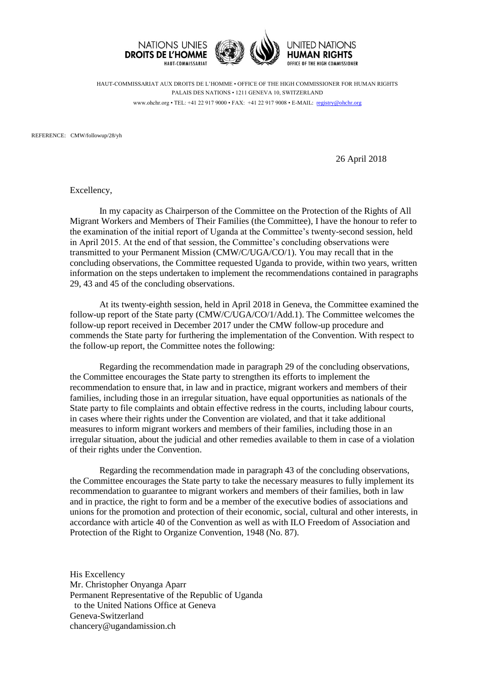

HAUT-COMMISSARIAT AUX DROITS DE L'HOMME • OFFICE OF THE HIGH COMMISSIONER FOR HUMAN RIGHTS PALAIS DES NATIONS • 1211 GENEVA 10, SWITZERLAND www.ohchr.org • TEL: +41 22 917 9000 • FAX: +41 22 917 9008 • E-MAIL: [registry@ohchr.org](mailto:registry@ohchr.org)

REFERENCE: CMW/followup/28/yh

26 April 2018

Excellency,

In my capacity as Chairperson of the Committee on the Protection of the Rights of All Migrant Workers and Members of Their Families (the Committee), I have the honour to refer to the examination of the initial report of Uganda at the Committee's twenty-second session, held in April 2015. At the end of that session, the Committee's concluding observations were transmitted to your Permanent Mission (CMW/C/UGA/CO/1). You may recall that in the concluding observations, the Committee requested Uganda to provide, within two years, written information on the steps undertaken to implement the recommendations contained in paragraphs 29, 43 and 45 of the concluding observations.

At its twenty-eighth session, held in April 2018 in Geneva, the Committee examined the follow-up report of the State party (CMW/C/UGA/CO/1/Add.1). The Committee welcomes the follow-up report received in December 2017 under the CMW follow-up procedure and commends the State party for furthering the implementation of the Convention. With respect to the follow-up report, the Committee notes the following:

Regarding the recommendation made in paragraph 29 of the concluding observations, the Committee encourages the State party to strengthen its efforts to implement the recommendation to ensure that, in law and in practice, migrant workers and members of their families, including those in an irregular situation, have equal opportunities as nationals of the State party to file complaints and obtain effective redress in the courts, including labour courts, in cases where their rights under the Convention are violated, and that it take additional measures to inform migrant workers and members of their families, including those in an irregular situation, about the judicial and other remedies available to them in case of a violation of their rights under the Convention.

Regarding the recommendation made in paragraph 43 of the concluding observations, the Committee encourages the State party to take the necessary measures to fully implement its recommendation to guarantee to migrant workers and members of their families, both in law and in practice, the right to form and be a member of the executive bodies of associations and unions for the promotion and protection of their economic, social, cultural and other interests, in accordance with article 40 of the Convention as well as with ILO Freedom of Association and Protection of the Right to Organize Convention, 1948 (No. 87).

His Excellency Mr. Christopher Onyanga Aparr Permanent Representative of the Republic of Uganda to the United Nations Office at Geneva Geneva-Switzerland [chancery@ugandamission.ch](mailto:chancery@ugandamission.ch)